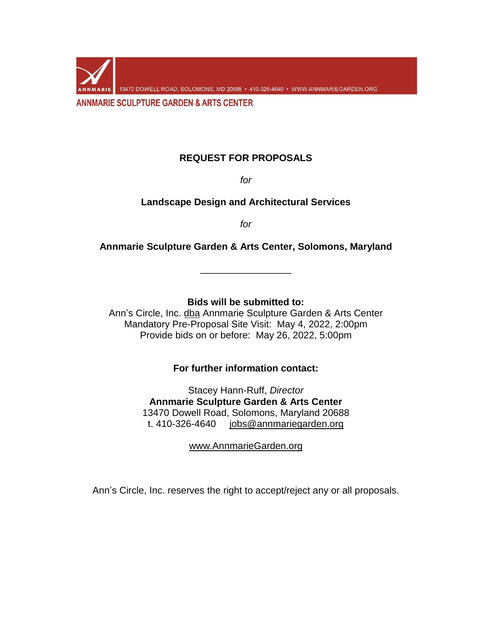13470 DOWELL ROAD, SOLOMONS, MD 20688 · 410-326-4640 · WWW.ANNMARIEGARDEN.ORG **ANNMARIE SCULPTURE GARDEN & ARTS CENTER** 

## **REQUEST FOR PROPOSALS**

*for*

**Landscape Design and Architectural Services**

*for*

**Annmarie Sculpture Garden & Arts Center, Solomons, Maryland**

\_\_\_\_\_\_\_\_\_\_\_\_\_\_\_\_\_

**Bids will be submitted to:**

Ann's Circle, Inc. dba Annmarie Sculpture Garden & Arts Center Mandatory Pre-Proposal Site Visit: May 4, 2022, 2:00pm Provide bids on or before: May 26, 2022, 5:00pm

**For further information contact:**

Stacey Hann-Ruff, *Director* **Annmarie Sculpture Garden & Arts Center** 13470 Dowell Road, Solomons, Maryland 20688 t. 410-326-4640 [jobs@annmariegarden.org](mailto:jobs@annmariegarden.org)

[www.AnnmarieGarden.org](http://www.annmariegarden.org/)

Ann's Circle, Inc. reserves the right to accept/reject any or all proposals.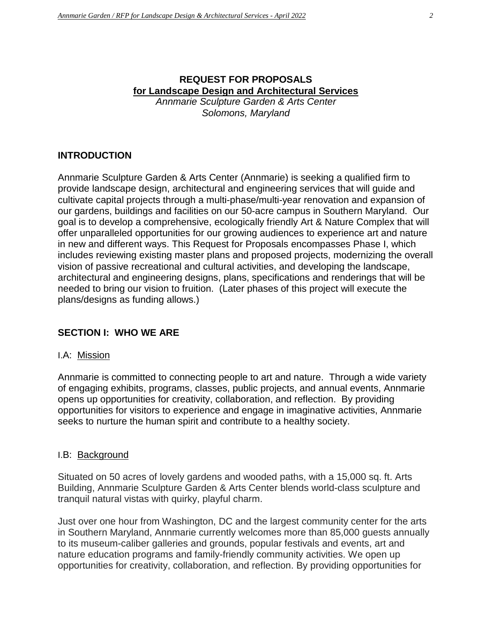# **REQUEST FOR PROPOSALS for Landscape Design and Architectural Services**

*Annmarie Sculpture Garden & Arts Center Solomons, Maryland*

## **INTRODUCTION**

Annmarie Sculpture Garden & Arts Center (Annmarie) is seeking a qualified firm to provide landscape design, architectural and engineering services that will guide and cultivate capital projects through a multi-phase/multi-year renovation and expansion of our gardens, buildings and facilities on our 50-acre campus in Southern Maryland. Our goal is to develop a comprehensive, ecologically friendly Art & Nature Complex that will offer unparalleled opportunities for our growing audiences to experience art and nature in new and different ways. This Request for Proposals encompasses Phase I, which includes reviewing existing master plans and proposed projects, modernizing the overall vision of passive recreational and cultural activities, and developing the landscape, architectural and engineering designs, plans, specifications and renderings that will be needed to bring our vision to fruition. (Later phases of this project will execute the plans/designs as funding allows.)

## **SECTION I: WHO WE ARE**

#### I.A: Mission

Annmarie is committed to connecting people to art and nature. Through a wide variety of engaging exhibits, programs, classes, public projects, and annual events, Annmarie opens up opportunities for creativity, collaboration, and reflection. By providing opportunities for visitors to experience and engage in imaginative activities, Annmarie seeks to nurture the human spirit and contribute to a healthy society.

#### I.B: Background

Situated on 50 acres of lovely gardens and wooded paths, with a 15,000 sq. ft. Arts Building, Annmarie Sculpture Garden & Arts Center blends world-class sculpture and tranquil natural vistas with quirky, playful charm.

Just over one hour from Washington, DC and the largest community center for the arts in Southern Maryland, Annmarie currently welcomes more than 85,000 guests annually to its museum-caliber galleries and grounds, popular festivals and events, art and nature education programs and family-friendly community activities. We open up opportunities for creativity, collaboration, and reflection. By providing opportunities for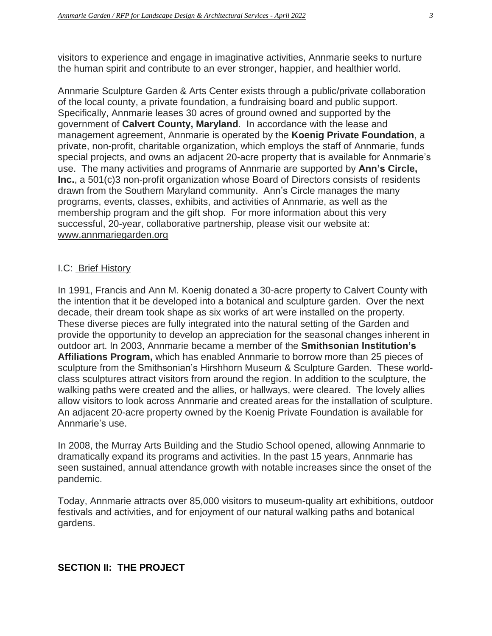visitors to experience and engage in imaginative activities, Annmarie seeks to nurture the human spirit and contribute to an ever stronger, happier, and healthier world.

Annmarie Sculpture Garden & Arts Center exists through a public/private collaboration of the local county, a private foundation, a fundraising board and public support. Specifically, Annmarie leases 30 acres of ground owned and supported by the government of **Calvert County, Maryland**. In accordance with the lease and management agreement, Annmarie is operated by the **Koenig Private Foundation**, a private, non-profit, charitable organization, which employs the staff of Annmarie, funds special projects, and owns an adjacent 20-acre property that is available for Annmarie's use. The many activities and programs of Annmarie are supported by **Ann's Circle, Inc.**, a 501(c)3 non-profit organization whose Board of Directors consists of residents drawn from the Southern Maryland community. Ann's Circle manages the many programs, events, classes, exhibits, and activities of Annmarie, as well as the membership program and the gift shop. For more information about this very successful, 20-year, collaborative partnership, please visit our website at: [www.annmariegarden.org](http://www.annmariegarden.org/)

## I.C: Brief History

In 1991, Francis and Ann M. Koenig donated a 30-acre property to Calvert County with the intention that it be developed into a botanical and sculpture garden. Over the next decade, their dream took shape as six works of art were installed on the property. These diverse pieces are fully integrated into the natural setting of the Garden and provide the opportunity to develop an appreciation for the seasonal changes inherent in outdoor art. In 2003, Annmarie became a member of the **Smithsonian Institution's Affiliations Program,** which has enabled Annmarie to borrow more than 25 pieces of sculpture from the Smithsonian's Hirshhorn Museum & Sculpture Garden. These worldclass sculptures attract visitors from around the region. In addition to the sculpture, the walking paths were created and the allies, or hallways, were cleared. The lovely allies allow visitors to look across Annmarie and created areas for the installation of sculpture. An adjacent 20-acre property owned by the Koenig Private Foundation is available for Annmarie's use.

In 2008, the Murray Arts Building and the Studio School opened, allowing Annmarie to dramatically expand its programs and activities. In the past 15 years, Annmarie has seen sustained, annual attendance growth with notable increases since the onset of the pandemic.

Today, Annmarie attracts over 85,000 visitors to museum-quality art exhibitions, outdoor festivals and activities, and for enjoyment of our natural walking paths and botanical gardens.

## **SECTION II: THE PROJECT**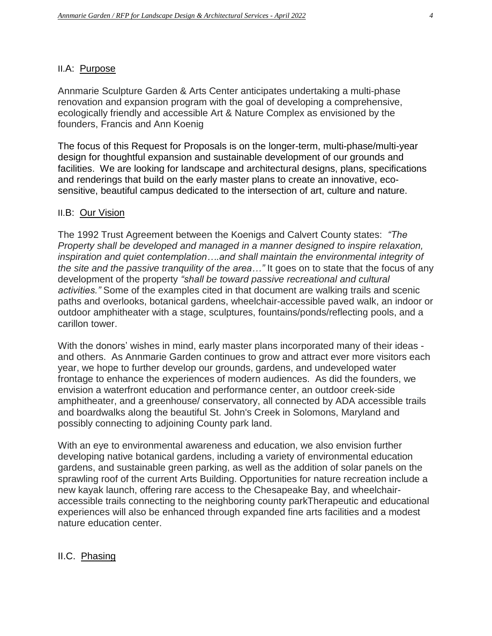## II.A: Purpose

Annmarie Sculpture Garden & Arts Center anticipates undertaking a multi-phase renovation and expansion program with the goal of developing a comprehensive, ecologically friendly and accessible Art & Nature Complex as envisioned by the founders, Francis and Ann Koenig

The focus of this Request for Proposals is on the longer-term, multi-phase/multi-year design for thoughtful expansion and sustainable development of our grounds and facilities. We are looking for landscape and architectural designs, plans, specifications and renderings that build on the early master plans to create an innovative, ecosensitive, beautiful campus dedicated to the intersection of art, culture and nature.

## II.B: Our Vision

The 1992 Trust Agreement between the Koenigs and Calvert County states: *"The Property shall be developed and managed in a manner designed to inspire relaxation, inspiration and quiet contemplation….and shall maintain the environmental integrity of the site and the passive tranquility of the area…"* It goes on to state that the focus of any development of the property *"shall be toward passive recreational and cultural activities."* Some of the examples cited in that document are walking trails and scenic paths and overlooks, botanical gardens, wheelchair-accessible paved walk, an indoor or outdoor amphitheater with a stage, sculptures, fountains/ponds/reflecting pools, and a carillon tower.

With the donors' wishes in mind, early master plans incorporated many of their ideas and others. As Annmarie Garden continues to grow and attract ever more visitors each year, we hope to further develop our grounds, gardens, and undeveloped water frontage to enhance the experiences of modern audiences. As did the founders, we envision a waterfront education and performance center, an outdoor creek-side amphitheater, and a greenhouse/ conservatory, all connected by ADA accessible trails and boardwalks along the beautiful St. John's Creek in Solomons, Maryland and possibly connecting to adjoining County park land.

With an eye to environmental awareness and education, we also envision further developing native botanical gardens, including a variety of environmental education gardens, and sustainable green parking, as well as the addition of solar panels on the sprawling roof of the current Arts Building. Opportunities for nature recreation include a new kayak launch, offering rare access to the Chesapeake Bay, and wheelchairaccessible trails connecting to the neighboring county parkTherapeutic and educational experiences will also be enhanced through expanded fine arts facilities and a modest nature education center.

## II.C. Phasing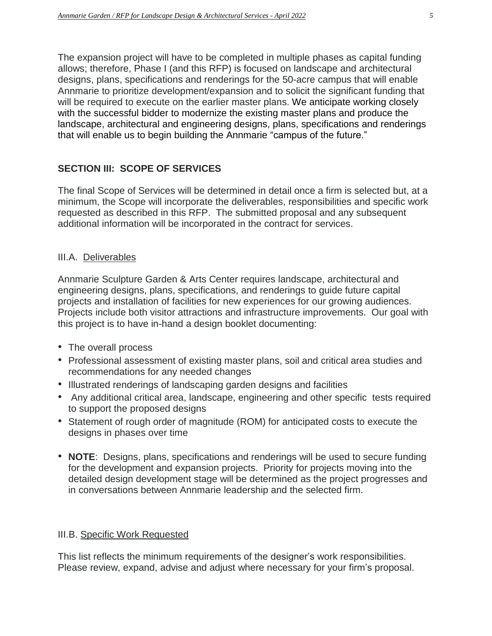The expansion project will have to be completed in multiple phases as capital funding allows; therefore, Phase I (and this RFP) is focused on landscape and architectural designs, plans, specifications and renderings for the 50-acre campus that will enable Annmarie to prioritize development/expansion and to solicit the significant funding that will be required to execute on the earlier master plans. We anticipate working closely with the successful bidder to modernize the existing master plans and produce the landscape, architectural and engineering designs, plans, specifications and renderings that will enable us to begin building the Annmarie "campus of the future."

## **SECTION III: SCOPE OF SERVICES**

The final Scope of Services will be determined in detail once a firm is selected but, at a minimum, the Scope will incorporate the deliverables, responsibilities and specific work requested as described in this RFP. The submitted proposal and any subsequent additional information will be incorporated in the contract for services.

#### III.A. Deliverables

Annmarie Sculpture Garden & Arts Center requires landscape, architectural and engineering designs, plans, specifications, and renderings to guide future capital projects and installation of facilities for new experiences for our growing audiences. Projects include both visitor attractions and infrastructure improvements. Our goal with this project is to have in-hand a design booklet documenting:

- The overall process
- Professional assessment of existing master plans, soil and critical area studies and recommendations for any needed changes
- Illustrated renderings of landscaping garden designs and facilities
- Any additional critical area, landscape, engineering and other specific tests required to support the proposed designs
- Statement of rough order of magnitude (ROM) for anticipated costs to execute the designs in phases over time
- **NOTE**: Designs, plans, specifications and renderings will be used to secure funding for the development and expansion projects. Priority for projects moving into the detailed design development stage will be determined as the project progresses and in conversations between Annmarie leadership and the selected firm.

#### III.B. Specific Work Requested

This list reflects the minimum requirements of the designer's work responsibilities. Please review, expand, advise and adjust where necessary for your firm's proposal.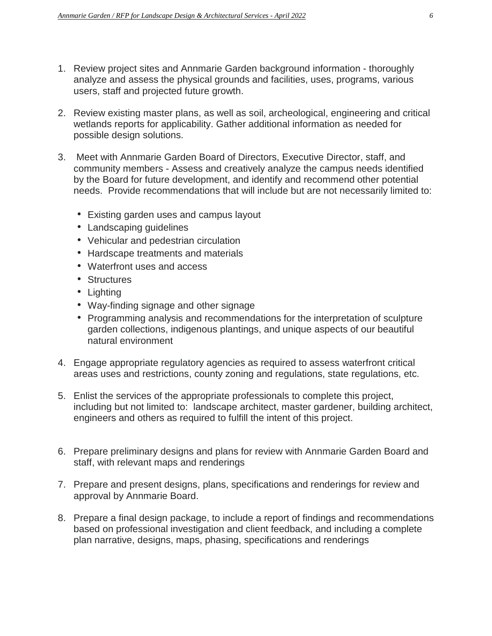- 1. Review project sites and Annmarie Garden background information thoroughly analyze and assess the physical grounds and facilities, uses, programs, various users, staff and projected future growth.
- 2. Review existing master plans, as well as soil, archeological, engineering and critical wetlands reports for applicability. Gather additional information as needed for possible design solutions.
- 3. Meet with Annmarie Garden Board of Directors, Executive Director, staff, and community members - Assess and creatively analyze the campus needs identified by the Board for future development, and identify and recommend other potential needs. Provide recommendations that will include but are not necessarily limited to:
	- Existing garden uses and campus layout
	- Landscaping guidelines
	- Vehicular and pedestrian circulation
	- Hardscape treatments and materials
	- Waterfront uses and access
	- Structures
	- Lighting
	- Way-finding signage and other signage
	- Programming analysis and recommendations for the interpretation of sculpture garden collections, indigenous plantings, and unique aspects of our beautiful natural environment
- 4. Engage appropriate regulatory agencies as required to assess waterfront critical areas uses and restrictions, county zoning and regulations, state regulations, etc.
- 5. Enlist the services of the appropriate professionals to complete this project, including but not limited to: landscape architect, master gardener, building architect, engineers and others as required to fulfill the intent of this project.
- 6. Prepare preliminary designs and plans for review with Annmarie Garden Board and staff, with relevant maps and renderings
- 7. Prepare and present designs, plans, specifications and renderings for review and approval by Annmarie Board.
- 8. Prepare a final design package, to include a report of findings and recommendations based on professional investigation and client feedback, and including a complete plan narrative, designs, maps, phasing, specifications and renderings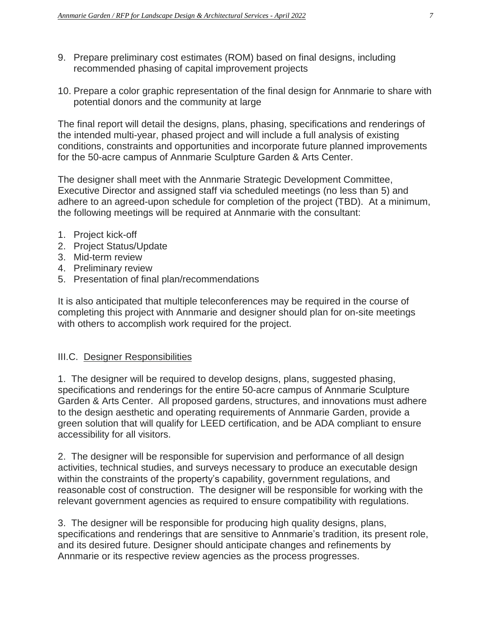- 9. Prepare preliminary cost estimates (ROM) based on final designs, including recommended phasing of capital improvement projects
- 10. Prepare a color graphic representation of the final design for Annmarie to share with potential donors and the community at large

The final report will detail the designs, plans, phasing, specifications and renderings of the intended multi-year, phased project and will include a full analysis of existing conditions, constraints and opportunities and incorporate future planned improvements for the 50-acre campus of Annmarie Sculpture Garden & Arts Center.

The designer shall meet with the Annmarie Strategic Development Committee, Executive Director and assigned staff via scheduled meetings (no less than 5) and adhere to an agreed-upon schedule for completion of the project (TBD). At a minimum, the following meetings will be required at Annmarie with the consultant:

- 1. Project kick-off
- 2. Project Status/Update
- 3. Mid-term review
- 4. Preliminary review
- 5. Presentation of final plan/recommendations

It is also anticipated that multiple teleconferences may be required in the course of completing this project with Annmarie and designer should plan for on-site meetings with others to accomplish work required for the project.

#### III.C. Designer Responsibilities

1. The designer will be required to develop designs, plans, suggested phasing, specifications and renderings for the entire 50-acre campus of Annmarie Sculpture Garden & Arts Center. All proposed gardens, structures, and innovations must adhere to the design aesthetic and operating requirements of Annmarie Garden, provide a green solution that will qualify for LEED certification, and be ADA compliant to ensure accessibility for all visitors.

2. The designer will be responsible for supervision and performance of all design activities, technical studies, and surveys necessary to produce an executable design within the constraints of the property's capability, government regulations, and reasonable cost of construction. The designer will be responsible for working with the relevant government agencies as required to ensure compatibility with regulations.

3. The designer will be responsible for producing high quality designs, plans, specifications and renderings that are sensitive to Annmarie's tradition, its present role, and its desired future. Designer should anticipate changes and refinements by Annmarie or its respective review agencies as the process progresses.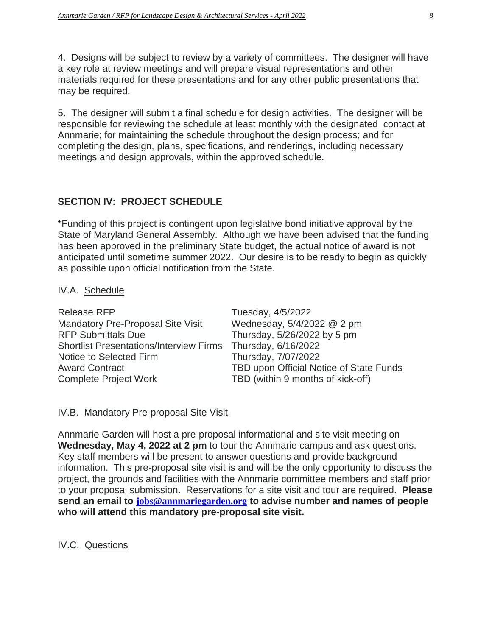4. Designs will be subject to review by a variety of committees. The designer will have a key role at review meetings and will prepare visual representations and other materials required for these presentations and for any other public presentations that may be required.

5. The designer will submit a final schedule for design activities. The designer will be responsible for reviewing the schedule at least monthly with the designated contact at Annmarie; for maintaining the schedule throughout the design process; and for completing the design, plans, specifications, and renderings, including necessary meetings and design approvals, within the approved schedule.

## **SECTION IV: PROJECT SCHEDULE**

\*Funding of this project is contingent upon legislative bond initiative approval by the State of Maryland General Assembly. Although we have been advised that the funding has been approved in the preliminary State budget, the actual notice of award is not anticipated until sometime summer 2022. Our desire is to be ready to begin as quickly as possible upon official notification from the State.

#### IV.A. Schedule

| Tuesday, 4/5/2022                                           |
|-------------------------------------------------------------|
| Wednesday, 5/4/2022 @ 2 pm                                  |
| Thursday, 5/26/2022 by 5 pm                                 |
| Shortlist Presentations/Interview Firms Thursday, 6/16/2022 |
| Thursday, 7/07/2022                                         |
| TBD upon Official Notice of State Funds                     |
| TBD (within 9 months of kick-off)                           |
|                                                             |

## IV.B. Mandatory Pre-proposal Site Visit

Annmarie Garden will host a pre-proposal informational and site visit meeting on **Wednesday, May 4, 2022 at 2 pm** to tour the Annmarie campus and ask questions. Key staff members will be present to answer questions and provide background information. This pre-proposal site visit is and will be the only opportunity to discuss the project, the grounds and facilities with the Annmarie committee members and staff prior to your proposal submission. Reservations for a site visit and tour are required. **Please send an email to [jobs@annmariegarden.org](mailto:jobs@annmariegarden.org) to advise number and names of people who will attend this mandatory pre-proposal site visit.**

IV.C. Questions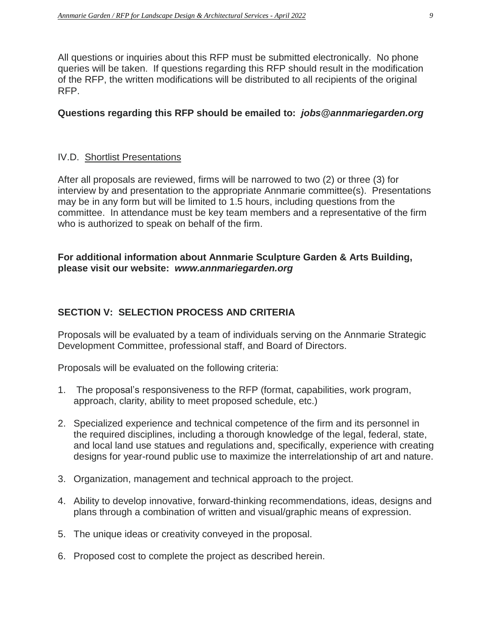All questions or inquiries about this RFP must be submitted electronically. No phone queries will be taken. If questions regarding this RFP should result in the modification of the RFP, the written modifications will be distributed to all recipients of the original RFP.

## **Questions regarding this RFP should be emailed to:** *jobs@annmariegarden.org*

## IV.D. Shortlist Presentations

After all proposals are reviewed, firms will be narrowed to two (2) or three (3) for interview by and presentation to the appropriate Annmarie committee(s). Presentations may be in any form but will be limited to 1.5 hours, including questions from the committee. In attendance must be key team members and a representative of the firm who is authorized to speak on behalf of the firm.

## **For additional information about Annmarie Sculpture Garden & Arts Building, please visit our website:** *www.annmariegarden.org*

## **SECTION V: SELECTION PROCESS AND CRITERIA**

Proposals will be evaluated by a team of individuals serving on the Annmarie Strategic Development Committee, professional staff, and Board of Directors.

Proposals will be evaluated on the following criteria:

- 1. The proposal's responsiveness to the RFP (format, capabilities, work program, approach, clarity, ability to meet proposed schedule, etc.)
- 2. Specialized experience and technical competence of the firm and its personnel in the required disciplines, including a thorough knowledge of the legal, federal, state, and local land use statues and regulations and, specifically, experience with creating designs for year-round public use to maximize the interrelationship of art and nature.
- 3. Organization, management and technical approach to the project.
- 4. Ability to develop innovative, forward-thinking recommendations, ideas, designs and plans through a combination of written and visual/graphic means of expression.
- 5. The unique ideas or creativity conveyed in the proposal.
- 6. Proposed cost to complete the project as described herein.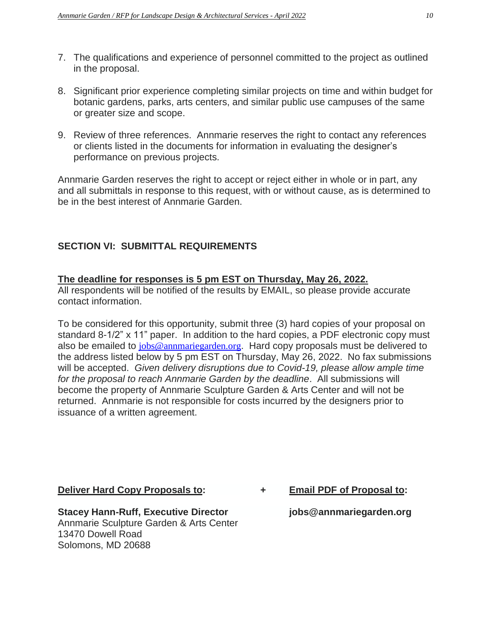- 7. The qualifications and experience of personnel committed to the project as outlined in the proposal.
- 8. Significant prior experience completing similar projects on time and within budget for botanic gardens, parks, arts centers, and similar public use campuses of the same or greater size and scope.
- 9. Review of three references. Annmarie reserves the right to contact any references or clients listed in the documents for information in evaluating the designer's performance on previous projects.

Annmarie Garden reserves the right to accept or reject either in whole or in part, any and all submittals in response to this request, with or without cause, as is determined to be in the best interest of Annmarie Garden.

## **SECTION VI: SUBMITTAL REQUIREMENTS**

# **The deadline for responses is 5 pm EST on Thursday, May 26, 2022.**

All respondents will be notified of the results by EMAIL, so please provide accurate contact information.

To be considered for this opportunity, submit three (3) hard copies of your proposal on standard 8-1/2" x 11" paper. In addition to the hard copies, a PDF electronic copy must also be emailed to [jobs@annmariegarden.org](mailto:jobs@annmariegarden.org). Hard copy proposals must be delivered to the address listed below by 5 pm EST on Thursday, May 26, 2022. No fax submissions will be accepted. *Given delivery disruptions due to Covid-19, please allow ample time for the proposal to reach Annmarie Garden by the deadline*. All submissions will become the property of Annmarie Sculpture Garden & Arts Center and will not be returned. Annmarie is not responsible for costs incurred by the designers prior to issuance of a written agreement.

**Stacey Hann-Ruff, Executive Director jobs@annmariegarden.org** Annmarie Sculpture Garden & Arts Center 13470 Dowell Road Solomons, MD 20688

**Deliver Hard Copy Proposals to: + Email PDF of Proposal to:**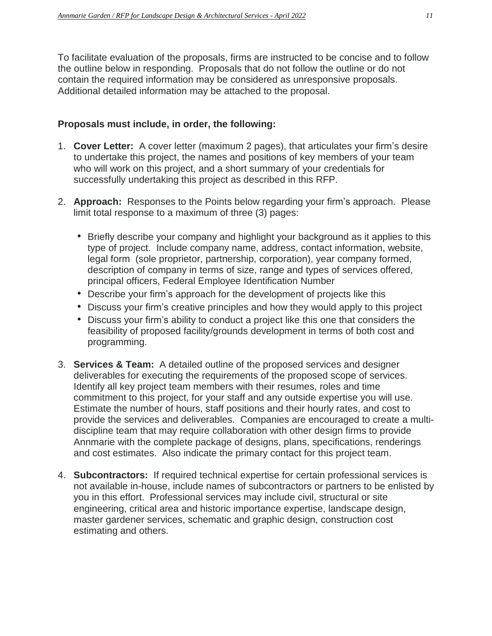To facilitate evaluation of the proposals, firms are instructed to be concise and to follow the outline below in responding. Proposals that do not follow the outline or do not contain the required information may be considered as unresponsive proposals. Additional detailed information may be attached to the proposal.

## **Proposals must include, in order, the following:**

- 1. **Cover Letter:** A cover letter (maximum 2 pages), that articulates your firm's desire to undertake this project, the names and positions of key members of your team who will work on this project, and a short summary of your credentials for successfully undertaking this project as described in this RFP.
- 2. **Approach:** Responses to the Points below regarding your firm's approach. Please limit total response to a maximum of three (3) pages:
	- Briefly describe your company and highlight your background as it applies to this type of project. Include company name, address, contact information, website, legal form (sole proprietor, partnership, corporation), year company formed, description of company in terms of size, range and types of services offered, principal officers, Federal Employee Identification Number
	- Describe your firm's approach for the development of projects like this
	- Discuss your firm's creative principles and how they would apply to this project
	- Discuss your firm's ability to conduct a project like this one that considers the feasibility of proposed facility/grounds development in terms of both cost and programming.
- 3. **Services & Team:** A detailed outline of the proposed services and designer deliverables for executing the requirements of the proposed scope of services. Identify all key project team members with their resumes, roles and time commitment to this project, for your staff and any outside expertise you will use. Estimate the number of hours, staff positions and their hourly rates, and cost to provide the services and deliverables. Companies are encouraged to create a multidiscipline team that may require collaboration with other design firms to provide Annmarie with the complete package of designs, plans, specifications, renderings and cost estimates. Also indicate the primary contact for this project team.
- 4. **Subcontractors:** If required technical expertise for certain professional services is not available in-house, include names of subcontractors or partners to be enlisted by you in this effort. Professional services may include civil, structural or site engineering, critical area and historic importance expertise, landscape design, master gardener services, schematic and graphic design, construction cost estimating and others.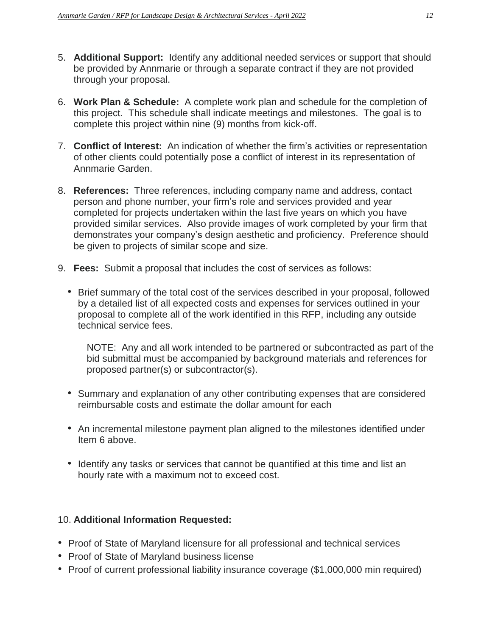- 5. **Additional Support:** Identify any additional needed services or support that should be provided by Annmarie or through a separate contract if they are not provided through your proposal.
- 6. **Work Plan & Schedule:** A complete work plan and schedule for the completion of this project. This schedule shall indicate meetings and milestones. The goal is to complete this project within nine (9) months from kick-off.
- 7. **Conflict of Interest:** An indication of whether the firm's activities or representation of other clients could potentially pose a conflict of interest in its representation of Annmarie Garden.
- 8. **References:** Three references, including company name and address, contact person and phone number, your firm's role and services provided and year completed for projects undertaken within the last five years on which you have provided similar services. Also provide images of work completed by your firm that demonstrates your company's design aesthetic and proficiency. Preference should be given to projects of similar scope and size.
- 9. **Fees:** Submit a proposal that includes the cost of services as follows:
	- Brief summary of the total cost of the services described in your proposal, followed by a detailed list of all expected costs and expenses for services outlined in your proposal to complete all of the work identified in this RFP, including any outside technical service fees.

NOTE: Any and all work intended to be partnered or subcontracted as part of the bid submittal must be accompanied by background materials and references for proposed partner(s) or subcontractor(s).

- Summary and explanation of any other contributing expenses that are considered reimbursable costs and estimate the dollar amount for each
- An incremental milestone payment plan aligned to the milestones identified under Item 6 above.
- Identify any tasks or services that cannot be quantified at this time and list an hourly rate with a maximum not to exceed cost.

# 10. **Additional Information Requested:**

- Proof of State of Maryland licensure for all professional and technical services
- Proof of State of Maryland business license
- Proof of current professional liability insurance coverage (\$1,000,000 min required)